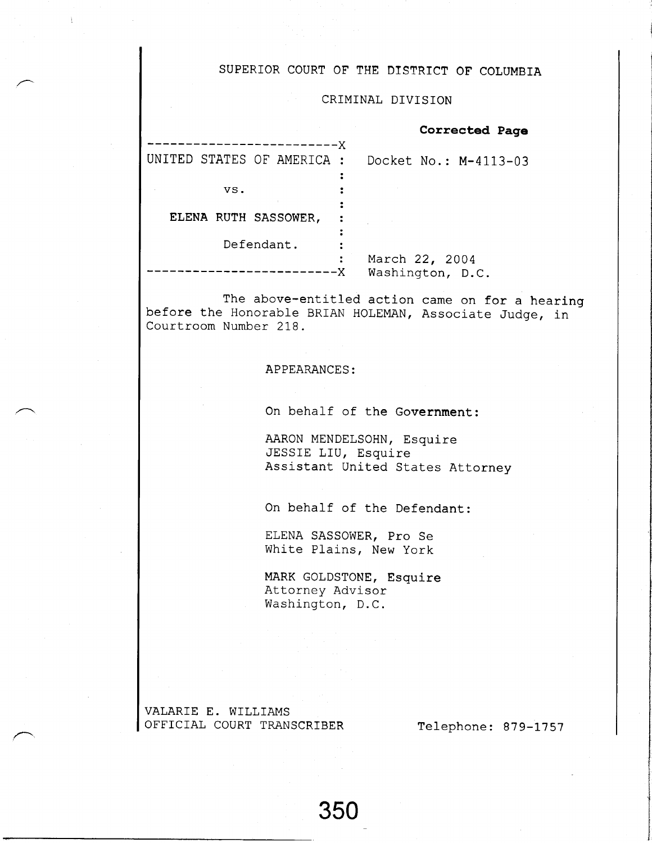### SUPERIOR COURT OF THE DISTRICT OF COLUMBIA

### CRIMINAL DIVISION

|                                           | Corrected Page                     |
|-------------------------------------------|------------------------------------|
| ----------X<br>UNITED STATES OF AMERICA : | Docket No.: M-4113-03              |
| VS.                                       |                                    |
| ELENA RUTH SASSOWER,                      |                                    |
| Defendant.                                |                                    |
| :                                         | March 22, 2004<br>Washington, D.C. |

The above-entitled action came on for a hearing before the Honorable BRIAN HOLEMAN, Associate Judge, in Courtroom Number 2IB.

#### APPEARANCES:

On behalf of the Government:

AARON MENDELSOHN, Esquire JESSIE LIU, Esquire Assistant United States Attorney

On behalf of the Defendant:

ELENA SASSOWER, Pro Se White Plains, New York

MARK GOLDSTONE, Esquire Attorney Advisor Washington, D.C.

VALARTE E. WTLLTAMS OFFICIAL COURT TRANSCRIBER Telephone: 879-1757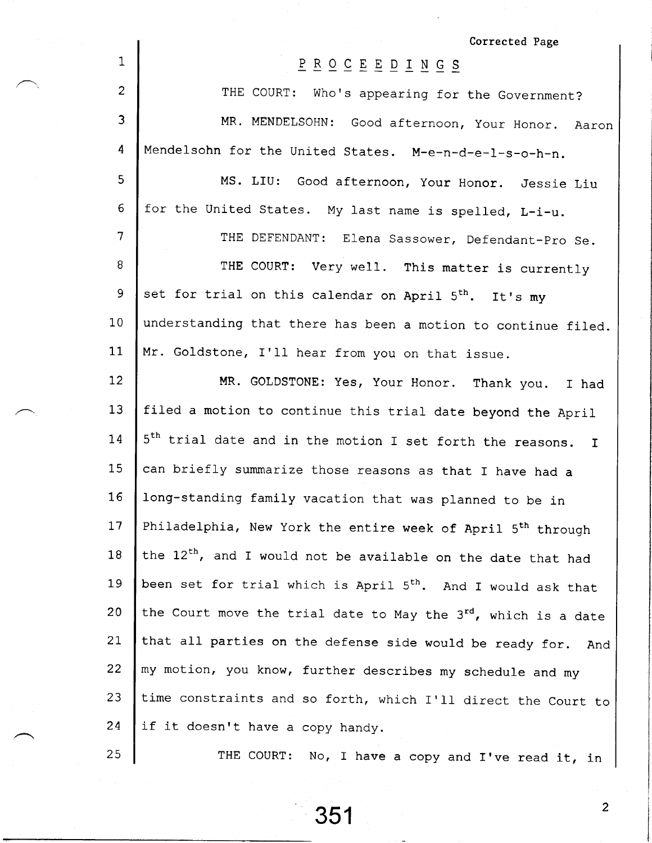|                | Corrected Page                                                                                                                                              |
|----------------|-------------------------------------------------------------------------------------------------------------------------------------------------------------|
| 1              | $\underline{P} \underline{R} \underline{O} \underline{C} \underline{E} \underline{E} \underline{D} \underline{I} \underline{N} \underline{G} \underline{S}$ |
| $\overline{c}$ | THE COURT: Who's appearing for the Government?                                                                                                              |
| $\overline{3}$ | MR. MENDELSOHN: Good afternoon, Your Honor. Aaron                                                                                                           |
| 4              | Mendelsohn for the United States. M-e-n-d-e-l-s-o-h-n.                                                                                                      |
| 5              | MS. LIU: Good afternoon, Your Honor. Jessie Liu                                                                                                             |
| 6              | for the United States. My last name is spelled, L-i-u.                                                                                                      |
| $\overline{7}$ | THE DEFENDANT: Elena Sassower, Defendant-Pro Se.                                                                                                            |
| 8              | THE COURT: Very well. This matter is currently                                                                                                              |
| 9              | set for trial on this calendar on April 5 <sup>th</sup> . It's my                                                                                           |
| 10             | understanding that there has been a motion to continue filed.                                                                                               |
| 11             | Mr. Goldstone, I'll hear from you on that issue.                                                                                                            |
| 12             | MR. GOLDSTONE: Yes, Your Honor. Thank you. I had                                                                                                            |
| 13             | filed a motion to continue this trial date beyond the April                                                                                                 |
| 14             | 5 <sup>th</sup> trial date and in the motion I set forth the reasons. I                                                                                     |
| 15             | can briefly summarize those reasons as that I have had a                                                                                                    |
| 16             | long-standing family vacation that was planned to be in                                                                                                     |
| 17             | Philadelphia, New York the entire week of April 5 <sup>th</sup> through                                                                                     |
| 18             | the 12 <sup>th</sup> , and I would not be available on the date that had                                                                                    |
| 19             | been set for trial which is April 5 <sup>th</sup> . And I would ask that                                                                                    |
| 20             | the Court move the trial date to May the 3rd, which is a date                                                                                               |
| 21             | that all parties on the defense side would be ready for.<br>And                                                                                             |
| 22             | my motion, you know, further describes my schedule and my                                                                                                   |
| 23             | time constraints and so forth, which I'll direct the Court to                                                                                               |
| 24             | if it doesn't have a copy handy.                                                                                                                            |
| 25             | THE COURT: No, I have a copy and I've read it, in                                                                                                           |

 $\overline{c}$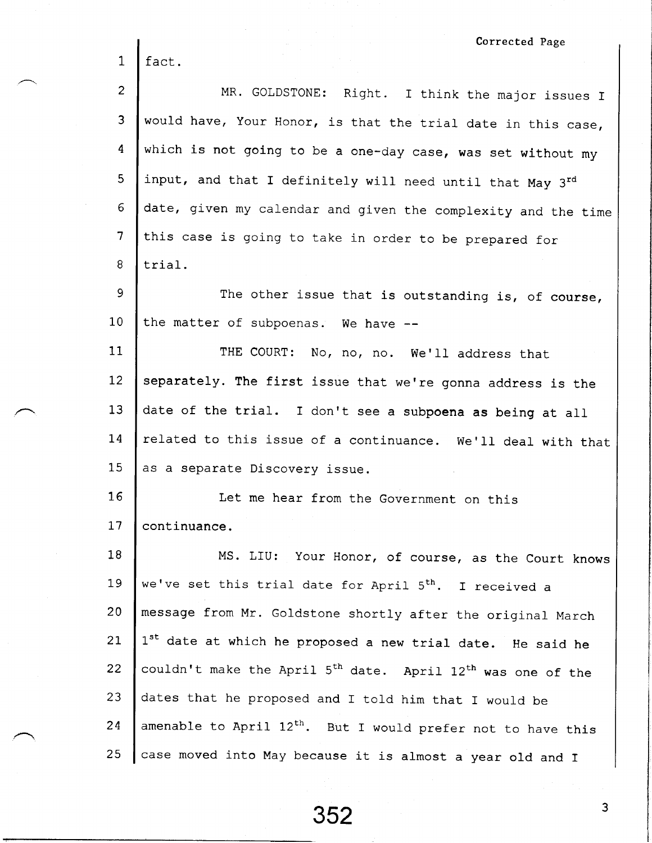|                 | Corrected Page                                                                      |
|-----------------|-------------------------------------------------------------------------------------|
| $\mathbf 1$     | fact.                                                                               |
| $\overline{c}$  | MR. GOLDSTONE: Right. I think the major issues I                                    |
| 3               | would have, Your Honor, is that the trial date in this case,                        |
| 4               | which is not going to be a one-day case, was set without my                         |
| 5               | input, and that I definitely will need until that May 3rd                           |
| 6               | date, given my calendar and given the complexity and the time                       |
| $7\phantom{.}$  | this case is going to take in order to be prepared for                              |
| 8               | trial.                                                                              |
| 9               | The other issue that is outstanding is, of course,                                  |
| 10 <sub>1</sub> | the matter of subpoenas. We have --                                                 |
| 11              | THE COURT: No, no, no. We'll address that                                           |
| 12              | separately. The first issue that we're gonna address is the                         |
| 13              | date of the trial. I don't see a subpoena as being at all                           |
| 14              | related to this issue of a continuance. We'll deal with that                        |
| 15              | as a separate Discovery issue.                                                      |
| 16              | Let me hear from the Government on this                                             |
| 17              | continuance.                                                                        |
| 18              | MS. LIU: Your Honor, of course, as the Court knows                                  |
| 19              | we've set this trial date for April 5 <sup>th</sup> . I received a                  |
| 20              | message from Mr. Goldstone shortly after the original March                         |
| 21              | 1st date at which he proposed a new trial date. He said he                          |
| 22              | couldn't make the April 5 <sup>th</sup> date. April 12 <sup>th</sup> was one of the |
| 23              | dates that he proposed and I told him that I would be                               |
| 24              | amenable to April 12 <sup>th</sup> . But I would prefer not to have this            |
| 25              | case moved into May because it is almost a year old and I                           |

352

 $\overline{3}$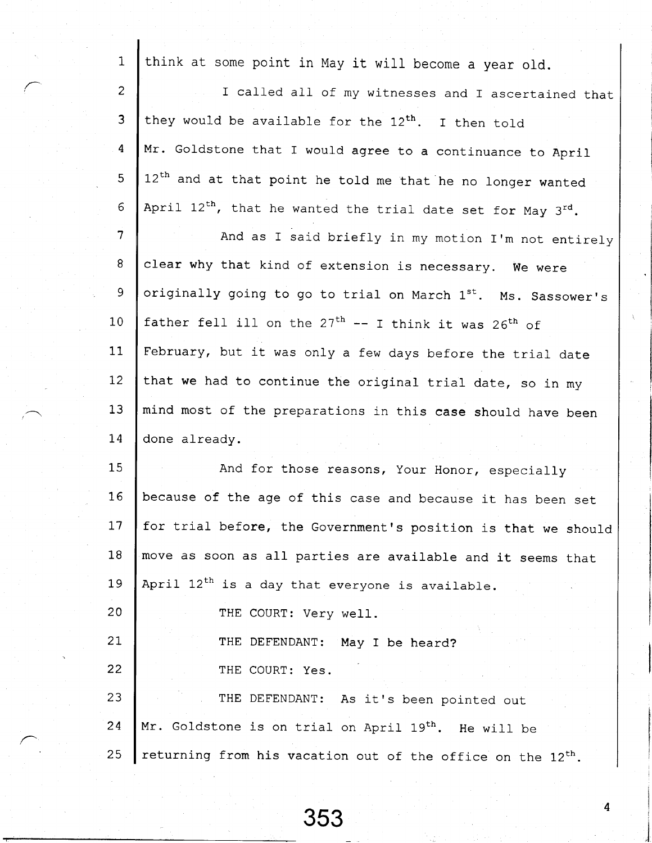| $\mathbf{1}$   | think at some point in May it will become a year old.                   |
|----------------|-------------------------------------------------------------------------|
| $\overline{2}$ | I called all of my witnesses and I ascertained that                     |
| $\overline{3}$ | they would be available for the 12 <sup>th</sup> . I then told          |
| 4              | Mr. Goldstone that I would agree to a continuance to April              |
| 5              | 12 <sup>th</sup> and at that point he told me that he no longer wanted  |
| 6              | April $12^{th}$ , that he wanted the trial date set for May $3^{rd}$ .  |
| $\overline{7}$ | And as I said briefly in my motion I'm not entirely                     |
| 8              | clear why that kind of extension is necessary. We were                  |
| 9              | originally going to go to trial on March 1st. Ms. Sassower's            |
| 10             | father fell ill on the $27th$ -- I think it was $26th$ of               |
| 11             | February, but it was only a few days before the trial date              |
| 12             | that we had to continue the original trial date, so in my               |
| 13             | mind most of the preparations in this case should have been             |
| 14             | done already.                                                           |
| 15             | And for those reasons, Your Honor, especially                           |
| 16             | because of the age of this case and because it has been set             |
| 17             | for trial before, the Government's position is that we should           |
| 18             | move as soon as all parties are available and it seems that             |
| 19             | April 12 <sup>th</sup> is a day that everyone is available.             |
| 20             | THE COURT: Very well.                                                   |
| 21             | THE DEFENDANT: May I be heard?                                          |
| 22             | THE COURT: Yes.                                                         |
| 23             | THE DEFENDANT: As it's been pointed out                                 |
| 24             | Mr. Goldstone is on trial on April 19 <sup>th</sup> . He will be        |
| 25             | returning from his vacation out of the office on the 12 <sup>th</sup> . |

 $\overline{\mathbf{4}}$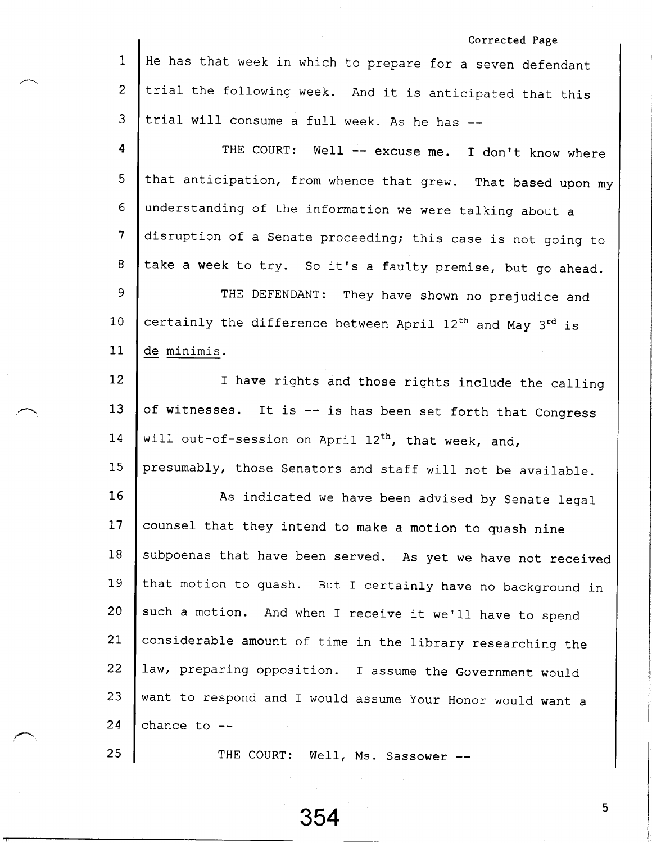|                 | Corrected Page                                                                     |
|-----------------|------------------------------------------------------------------------------------|
| 1               | He has that week in which to prepare for a seven defendant                         |
| $\overline{2}$  | trial the following week. And it is anticipated that this                          |
| 3               | trial will consume a full week. As he has --                                       |
| 4               | THE COURT: Well -- excuse me. I don't know where                                   |
| 5               | that anticipation, from whence that grew. That based upon my                       |
| 6               | understanding of the information we were talking about a                           |
| 7               | disruption of a Senate proceeding; this case is not going to                       |
| 8               | take a week to try. So it's a faulty premise, but go ahead.                        |
| 9               | THE DEFENDANT: They have shown no prejudice and                                    |
| 10              | certainly the difference between April 12 <sup>th</sup> and May 3 <sup>rd</sup> is |
| 11              | de minimis.                                                                        |
| 12              | I have rights and those rights include the calling                                 |
| 13              | of witnesses. It is -- is has been set forth that Congress                         |
| 14              | will out-of-session on April 12 <sup>th</sup> , that week, and,                    |
| 15              | presumably, those Senators and staff will not be available.                        |
| 16              | As indicated we have been advised by Senate legal                                  |
| 17 <sup>2</sup> | counsel that they intend to make a motion to quash nine                            |
| 18              | subpoenas that have been served. As yet we have not received                       |
| 19              | that motion to quash. But I certainly have no background in                        |
| 20              | such a motion. And when I receive it we'll have to spend                           |
| 21              | considerable amount of time in the library researching the                         |
| 22              | law, preparing opposition. I assume the Government would                           |
| 23.             | want to respond and I would assume Your Honor would want a                         |
| 24              | chance to $-$                                                                      |
| 25              | THE COURT: Well, Ms. Sassower --                                                   |

 $\overline{\mathbf{5}}$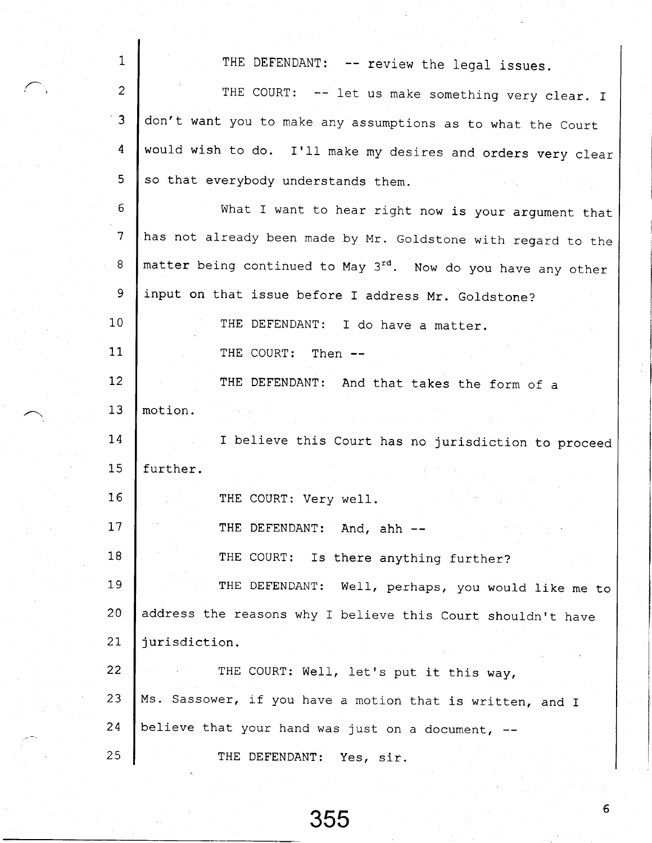| $\mathbf{1}$   | THE DEFENDANT: -- review the legal issues.                    |
|----------------|---------------------------------------------------------------|
| $\overline{c}$ | THE COURT: -- let us make something very clear. I             |
| $\overline{3}$ | don't want you to make any assumptions as to what the Court   |
| 4              | would wish to do. I'll make my desires and orders very clear  |
| 5              | so that everybody understands them.                           |
| 6              | What I want to hear right now is your argument that           |
| $\overline{7}$ | has not already been made by Mr. Goldstone with regard to the |
| 8              | matter being continued to May 3rd. Now do you have any other  |
| 9              | input on that issue before I address Mr. Goldstone?           |
| 10             | THE DEFENDANT: I do have a matter.                            |
| 11             | THE COURT: Then --                                            |
| 12             | THE DEFENDANT: And that takes the form of a                   |
| 13             | motion.                                                       |
| 14             | I believe this Court has no jurisdiction to proceed           |
| 15             | further.                                                      |
| 16             | THE COURT: Very well.                                         |
| 17             | THE DEFENDANT: And, ahh --                                    |
| 18             | THE COURT: Is there anything further?                         |
| 19             | THE DEFENDANT: Well, perhaps, you would like me to            |
| 20             | address the reasons why I believe this Court shouldn't have   |
| 21             | jurisdiction.                                                 |
| 22             | THE COURT: Well, let's put it this way,                       |
| 23             | Ms. Sassower, if you have a motion that is written, and I     |
| 24             | believe that your hand was just on a document, --             |
| 25             | THE DEFENDANT:<br>Yes, sir.                                   |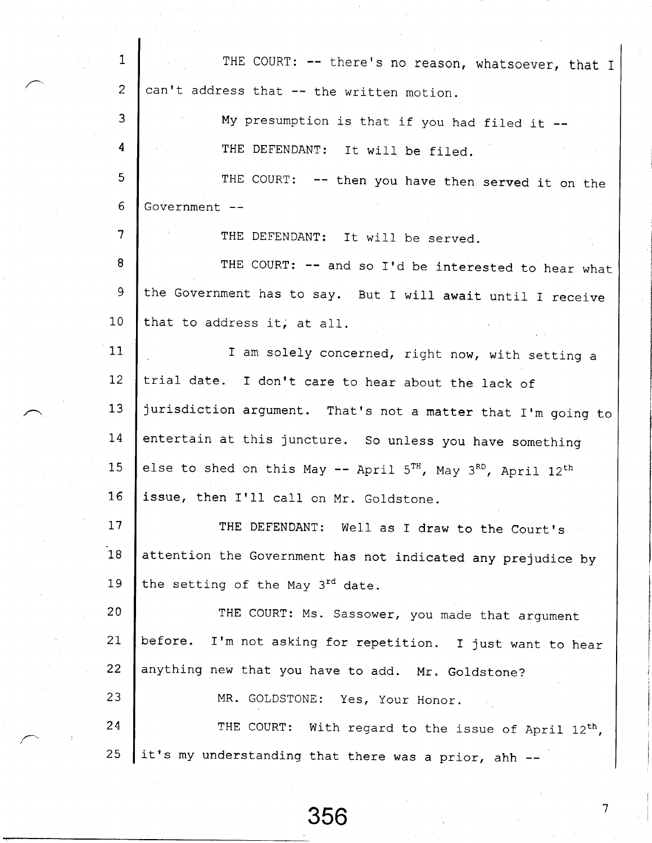| $\mathbf{1}$   | THE COURT: -- there's no reason, whatsoever, that I                         |
|----------------|-----------------------------------------------------------------------------|
| $\overline{2}$ | can't address that -- the written motion.                                   |
| 3              | My presumption is that if you had filed it --                               |
| 4              | THE DEFENDANT: It will be filed.                                            |
| 5              | THE COURT: -- then you have then served it on the                           |
| 6              | Government --                                                               |
| 7              | THE DEFENDANT: It will be served.                                           |
| 8              | THE COURT: -- and so I'd be interested to hear what                         |
| 9              | the Government has to say. But I will await until I receive                 |
| 10             | that to address it, at all.                                                 |
| 11             | I am solely concerned, right now, with setting a                            |
| 12             | trial date. I don't care to hear about the lack of                          |
| 13             | jurisdiction argument. That's not a matter that I'm going to                |
| 14             | entertain at this juncture. So unless you have something                    |
| 15             | else to shed on this May -- April $5^{TH}$ , May $3^{RD}$ , April $12^{th}$ |
| 16             | issue, then I'll call on Mr. Goldstone.                                     |
| $17$           | THE DEFENDANT: Well as I draw to the Court's                                |
| 18             | attention the Government has not indicated any prejudice by                 |
| 19             | the setting of the May 3rd date.                                            |
| 20             | THE COURT: Ms. Sassower, you made that argument                             |
| 21             | before.<br>I'm not asking for repetition. I just want to hear               |
| 22             | anything new that you have to add. Mr. Goldstone?                           |
| 23             | MR. GOLDSTONE: Yes, Your Honor.                                             |
| 24             | THE COURT: With regard to the issue of April 12 <sup>th</sup> ,             |
| 25             | it's my understanding that there was a prior, ahh --                        |

I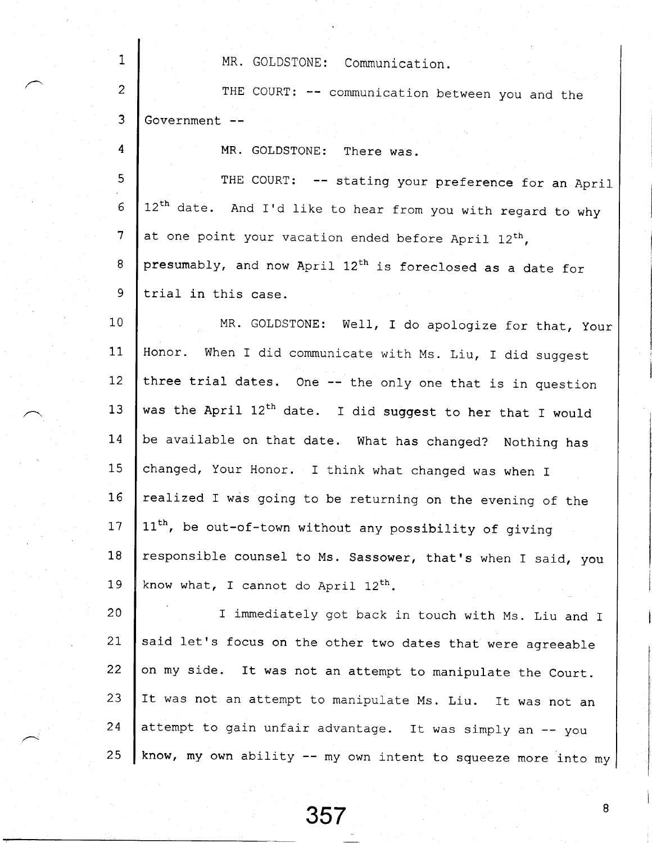| 1              | MR. GOLDSTONE: Communication.                                           |
|----------------|-------------------------------------------------------------------------|
| $\overline{c}$ | THE COURT: -- communication between you and the                         |
| 3              | Government --                                                           |
| 4              | MR. GOLDSTONE:<br>There was.                                            |
| 5              | THE COURT: -- stating your preference for an April                      |
| 6              | 12 <sup>th</sup> date. And I'd like to hear from you with regard to why |
| $\overline{7}$ | at one point your vacation ended before April 12th,                     |
| 8              | presumably, and now April 12 <sup>th</sup> is foreclosed as a date for  |
| 9              | trial in this case.                                                     |
| 10             | MR. GOLDSTONE: Well, I do apologize for that, Your                      |
| 11             | Honor. When I did communicate with Ms. Liu, I did suggest               |
| 12             | three trial dates. One -- the only one that is in question              |
| 13             | was the April 12 <sup>th</sup> date. I did suggest to her that I would  |
| 14             | be available on that date. What has changed? Nothing has                |
| 15             | changed, Your Honor. I think what changed was when I                    |
| 16             | realized I was going to be returning on the evening of the              |
| 17             | 11 <sup>th</sup> , be out-of-town without any possibility of giving     |
| 18             | responsible counsel to Ms. Sassower, that's when I said, you            |
| 19             | know what, I cannot do April $12^{th}$ .                                |
| 20             | I immediately got back in touch with Ms. Liu and I                      |
| 21             | said let's focus on the other two dates that were agreeable             |
| 22             | on my side. It was not an attempt to manipulate the Court.              |
| 23             | It was not an attempt to manipulate Ms. Liu. It was not an              |
| 24             | attempt to gain unfair advantage. It was simply an -- you               |
| 25             | know, my own ability -- my own intent to squeeze more into my           |

357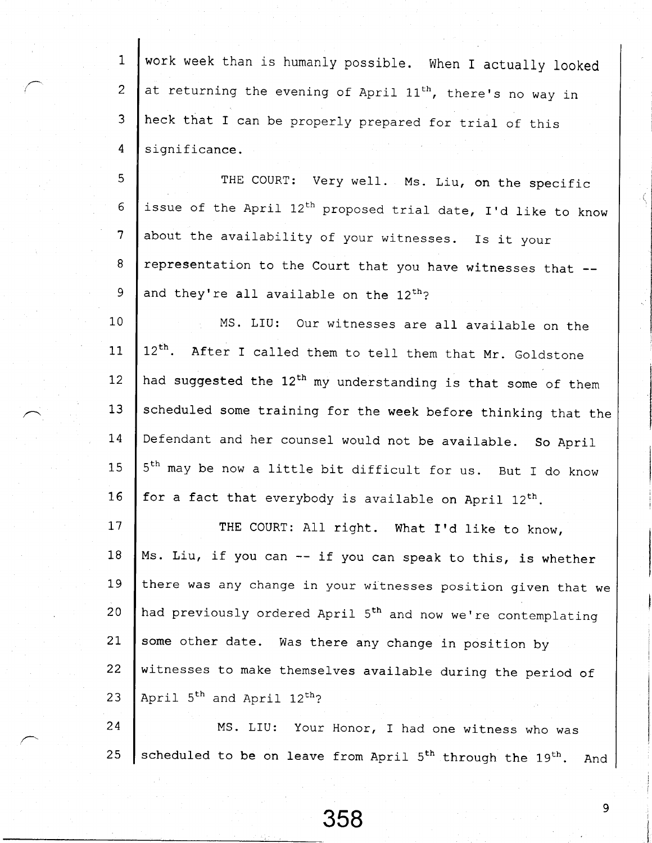work week than is humanly possible. When I actually looked 1 at returning the evening of April  $11^{th}$ , there's no way in 2 heck that I can be properly prepared for trial of this 3 4 significance.

5 6 7 8 9 THE COURT: Very well. Ms. Liu, on the specific issue of the April  $12^{th}$  proposed trial date, I'd like to know about the availability of your witnesses. Is it your representation to the Court that you have witnesses that -and they're all available on the 12<sup>th</sup>?

1 0 11  $12<sup>2</sup>$ 13  $14$ 15 16 MS. LIU: Our witnesses are all available on the  $12<sup>th</sup>$ . After I called them to tell them that Mr. Goldstone had suggested the 12<sup>th</sup> my understanding is that some of them scheduled some training for the week before thinking that the Defendant and her counsel would not be available. So April 5<sup>th</sup> may be now a little bit difficult for us. But I do know for a fact that everybody is available on April  $12^{th}$ .

 $17$ 1 8 l-9 2 0  $21$  $22 \overline{c}$  $23$ THE COURT: All right. What I'd like to know, Ms. Liu, if you can -- if you can speak to this, is whether there was any change in your witnesses position given that we had previously ordered April 5<sup>th</sup> and now we're contemplating some other date. was there any change in position by witnesses to make themselves available during the period of April  $5<sup>th</sup>$  and April  $12<sup>th</sup>$ ?

2 4 25 MS. LIU: your Honor, I had one witness who was scheduled to be on leave from April 5<sup>th</sup> through the 19<sup>th</sup>. And

9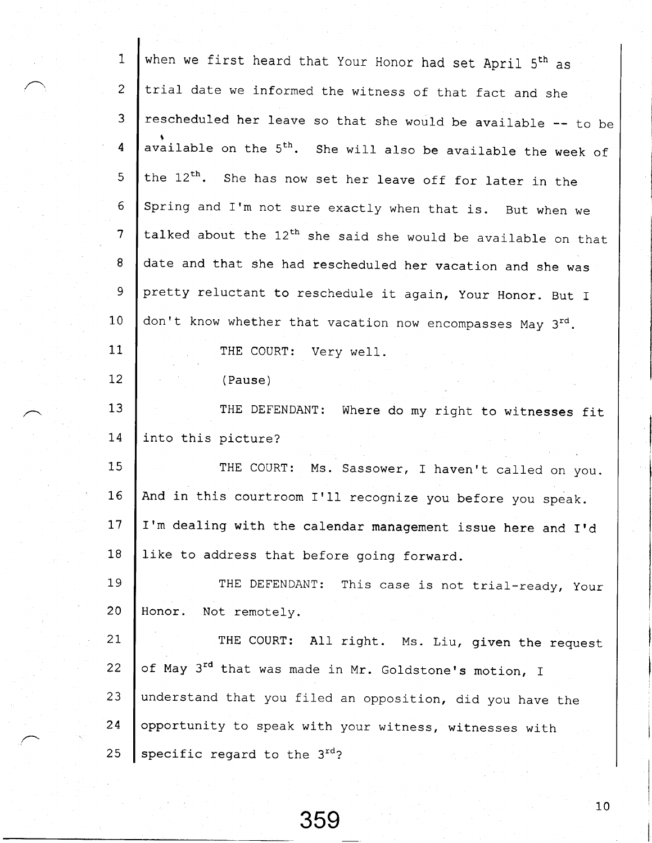| $\mathbf{1}$            | when we first heard that Your Honor had set April 5 <sup>th</sup> as      |
|-------------------------|---------------------------------------------------------------------------|
| $\overline{c}$          | trial date we informed the witness of that fact and she                   |
| 3                       | rescheduled her leave so that she would be available -- to be             |
| $\overline{\mathbf{4}}$ | available on the 5 <sup>th</sup> . She will also be available the week of |
| 5                       | the 12 <sup>th</sup> . She has now set her leave off for later in the     |
| 6                       | Spring and I'm not sure exactly when that is. But when we                 |
| $\overline{7}$          | talked about the 12 <sup>th</sup> she said she would be available on that |
| 8                       | date and that she had rescheduled her vacation and she was                |
| $\mathsf 9$             | pretty reluctant to reschedule it again, Your Honor. But I                |
| 10                      | don't know whether that vacation now encompasses May 3rd.                 |
| 11                      | THE COURT: Very well.                                                     |
| 12                      | (Pause)                                                                   |
| 13                      | THE DEFENDANT:<br>Where do my right to witnesses fit                      |
| 14                      | into this picture?                                                        |
| 15                      | THE COURT: Ms. Sassower, I haven't called on you.                         |
| 16                      | And in this courtroom I'll recognize you before you speak.                |
| 17 <sub>2</sub>         | I'm dealing with the calendar management issue here and I'd               |
| 18                      | like to address that before going forward.                                |
| 19                      | THE DEFENDANT: This case is not trial-ready, Your                         |
| 20                      | Honor.<br>Not remotely.                                                   |
| 21                      | THE COURT: All right. Ms. Liu, given the request                          |
| 22                      | of May 3 <sup>rd</sup> that was made in Mr. Goldstone's motion, I         |
| 23                      | understand that you filed an opposition, did you have the                 |
| 24                      | opportunity to speak with your witness, witnesses with                    |
| 25                      | specific regard to the 3rd?                                               |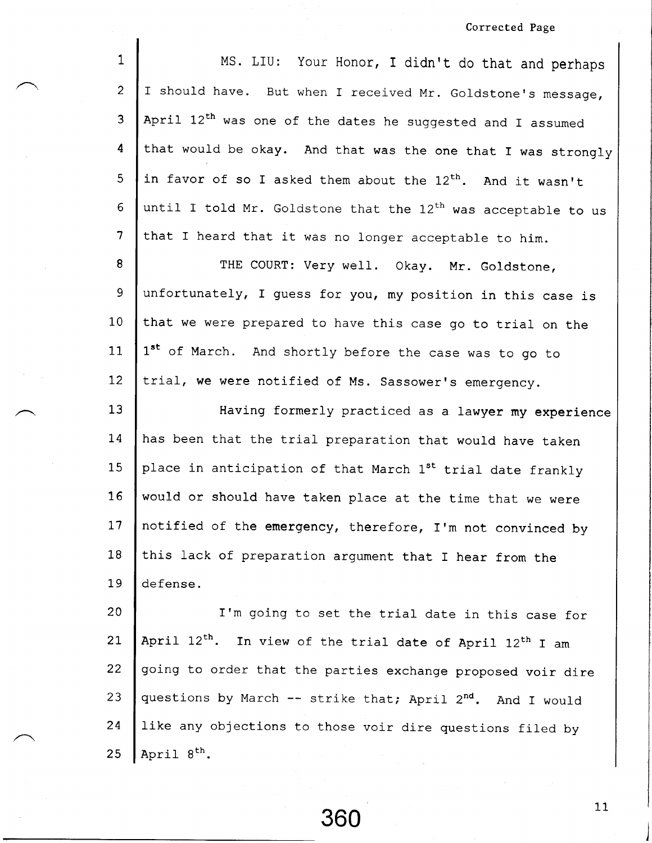## Corrected Page

| $\mathbf{1}$             | MS. LIU: Your Honor, I didn't do that and perhaps                                 |
|--------------------------|-----------------------------------------------------------------------------------|
| $\overline{2}$           | I should have. But when I received Mr. Goldstone's message,                       |
| 3                        | April 12 <sup>th</sup> was one of the dates he suggested and I assumed            |
| 4                        | that would be okay. And that was the one that I was strongly                      |
| 5                        | in favor of so I asked them about the 12 <sup>th</sup> . And it wasn't            |
| 6                        | until I told Mr. Goldstone that the 12 <sup>th</sup> was acceptable to us         |
| $\overline{\mathcal{L}}$ | that I heard that it was no longer acceptable to him.                             |
| 8                        | THE COURT: Very well. Okay. Mr. Goldstone,                                        |
| 9                        | unfortunately, I guess for you, my position in this case is                       |
| 10                       | that we were prepared to have this case go to trial on the                        |
| 11                       | 1st of March. And shortly before the case was to go to                            |
| 12                       | trial, we were notified of Ms. Sassower's emergency.                              |
| 13                       | Having formerly practiced as a lawyer my experience                               |
| 14                       | has been that the trial preparation that would have taken                         |
| 15                       | place in anticipation of that March 1st trial date frankly                        |
| $16 \,$                  | would or should have taken place at the time that we were                         |
| 17                       | notified of the emergency, therefore, I'm not convinced by                        |
| 18                       | this lack of preparation argument that I hear from the                            |
| 19                       | defense.                                                                          |
| 20                       | I'm going to set the trial date in this case for                                  |
| 21                       | April 12 <sup>th</sup> . In view of the trial date of April 12 <sup>th</sup> I am |
| 22                       | going to order that the parties exchange proposed voir dire                       |
| 23                       | questions by March -- strike that; April 2 <sup>nd</sup> . And I would            |
| 24                       | like any objections to those voir dire questions filed by                         |
| 25                       | April 8 <sup>th</sup> .                                                           |

360<sup>11</sup>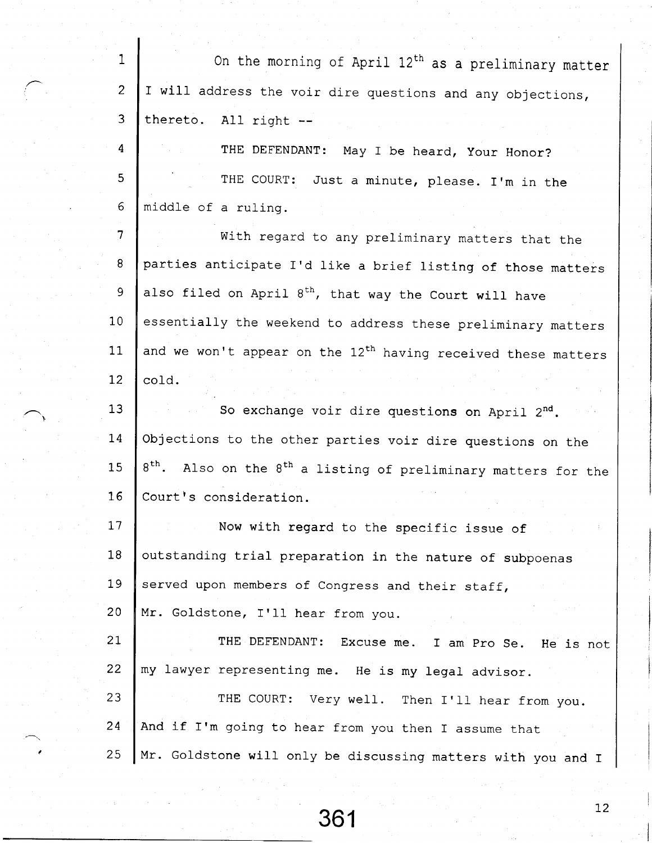| $\mathbf{1}$   | On the morning of April 12 <sup>th</sup> as a preliminary matter                       |
|----------------|----------------------------------------------------------------------------------------|
| $\overline{2}$ | I will address the voir dire questions and any objections,                             |
| 3              | thereto. All right --                                                                  |
| 4              | THE DEFENDANT: May I be heard, Your Honor?                                             |
| 5              | THE COURT: Just a minute, please. I'm in the                                           |
| 6              | middle of a ruling.                                                                    |
| $\overline{7}$ | With regard to any preliminary matters that the                                        |
| 8              | parties anticipate I'd like a brief listing of those matters                           |
| 9              | also filed on April 8 <sup>th</sup> , that way the Court will have                     |
| 10             | essentially the weekend to address these preliminary matters                           |
| 11             | and we won't appear on the 12 <sup>th</sup> having received these matters              |
| 12             | cold.                                                                                  |
| 13             | So exchange voir dire questions on April 2nd.                                          |
| 14             | Objections to the other parties voir dire questions on the                             |
| 15             | 8 <sup>th</sup> . Also on the 8 <sup>th</sup> a listing of preliminary matters for the |
| 16             | Court's consideration.                                                                 |
| 17             | Now with regard to the specific issue of                                               |
| 18             | outstanding trial preparation in the nature of subpoenas                               |
| 19             | served upon members of Congress and their staff,                                       |
| 20             | Mr. Goldstone, I'll hear from you.                                                     |
| 21             | THE DEFENDANT:<br>Excuse me.<br>I am Pro Se. He is not                                 |
| 22             | my lawyer representing me. He is my legal advisor.                                     |
| 23             | THE COURT: Very well. Then I'll hear from you.                                         |
| 24             | And if I'm going to hear from you then I assume that                                   |
| 25             | Mr. Goldstone will only be discussing matters with you and I                           |

 $361$ <sup>12</sup>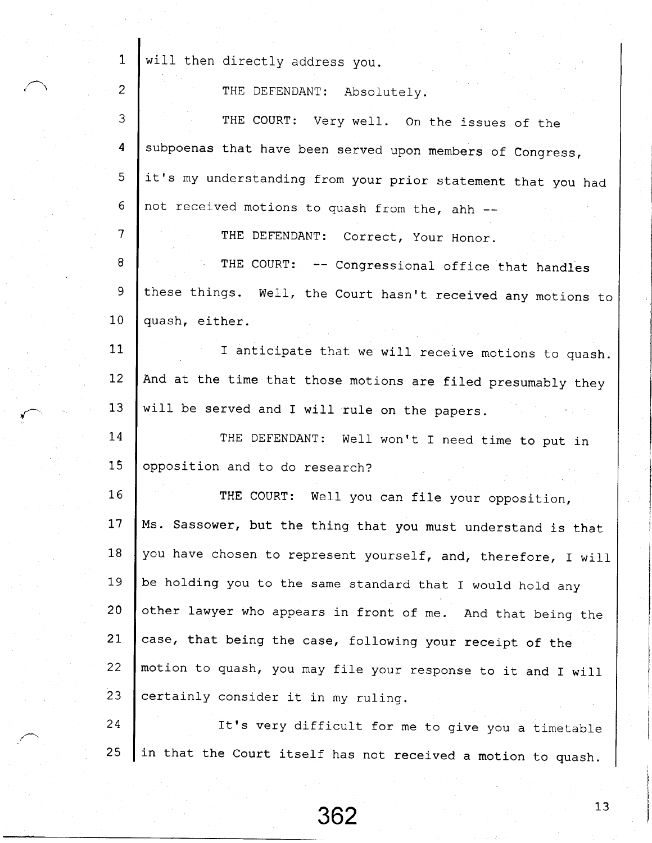| $\mathbf{1}$    | will then directly address you.                                 |
|-----------------|-----------------------------------------------------------------|
| $\overline{2}$  | THE DEFENDANT: Absolutely.                                      |
| 3               | THE COURT: Very well. On the issues of the                      |
| 4               | subpoenas that have been served upon members of Congress,       |
| 5 <sub>1</sub>  | it's my understanding from your prior statement that you had    |
| 6               | not received motions to quash from the, ahh --                  |
| $\overline{7}$  | THE DEFENDANT: Correct, Your Honor.                             |
| 8               | THE COURT: -- Congressional office that handles                 |
| 9               | these things. Well, the Court hasn't received any motions to    |
| 10              | quash, either.                                                  |
| 11              | I anticipate that we will receive motions to quash.             |
| 12 <sup>2</sup> | And at the time that those motions are filed presumably they    |
| 13 <sup>2</sup> | will be served and I will rule on the papers.                   |
| 14              | THE DEFENDANT: Well won't I need time to put in                 |
| 15              | opposition and to do research?                                  |
| 16              | THE COURT: Well you can file your opposition,                   |
| 17              | Ms.<br>Sassower, but the thing that you must understand is that |
| 18              | you have chosen to represent yourself, and, therefore, I will   |
| 19              | be holding you to the same standard that I would hold any       |
| 20              | other lawyer who appears in front of me. And that being the     |
| 21              | case, that being the case, following your receipt of the        |
| 22              | motion to quash, you may file your response to it and I will    |
| 23              | certainly consider it in my ruling.                             |
| 24              | It's very difficult for me to give you a timetable              |
| 25              | in that the Court itself has not received a motion to quash.    |

t

 $\mathbf{I}$ 

362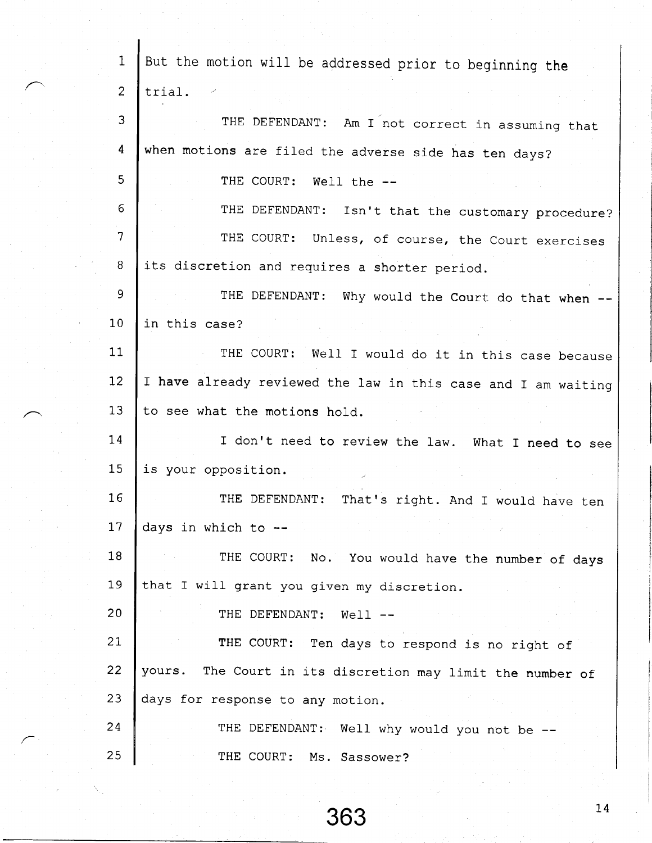| $\mathbf{1}$   | But the motion will be addressed prior to beginning the       |
|----------------|---------------------------------------------------------------|
| $\overline{c}$ |                                                               |
|                | trial.                                                        |
| 3              | THE DEFENDANT: Am I not correct in assuming that              |
| 4              | when motions are filed the adverse side has ten days?         |
| 5              | THE COURT: Well the --                                        |
| 6              | THE DEFENDANT: Isn't that the customary procedure?            |
| $\overline{7}$ | THE COURT: Unless, of course, the Court exercises             |
| 8              | its discretion and requires a shorter period.                 |
| 9              | THE DEFENDANT: Why would the Court do that when --            |
| 10             | in this case?                                                 |
| 11             | THE COURT: Well I would do it in this case because            |
| 12             | I have already reviewed the law in this case and I am waiting |
| 13             | to see what the motions hold.                                 |
| 14             | I don't need to review the law. What I need to see            |
| 15             | is your opposition.                                           |
| 16             | THE DEFENDANT:<br>That's right. And I would have ten          |
| 17             | days in which to --                                           |
| 18             | THE COURT: No. You would have the number of days              |
| 19             | that I will grant you given my discretion.                    |
| 20             | THE DEFENDANT:<br>$Well1$ --                                  |
| 21             | THE COURT: Ten days to respond is no right of                 |
| 22             | yours. The Court in its discretion may limit the number of    |
| 23             | days for response to any motion.                              |
| 24             | THE DEFENDANT: Well why would you not be --                   |
| 25             | THE COURT: Ms. Sassower?                                      |

 $363$ <sup>14</sup>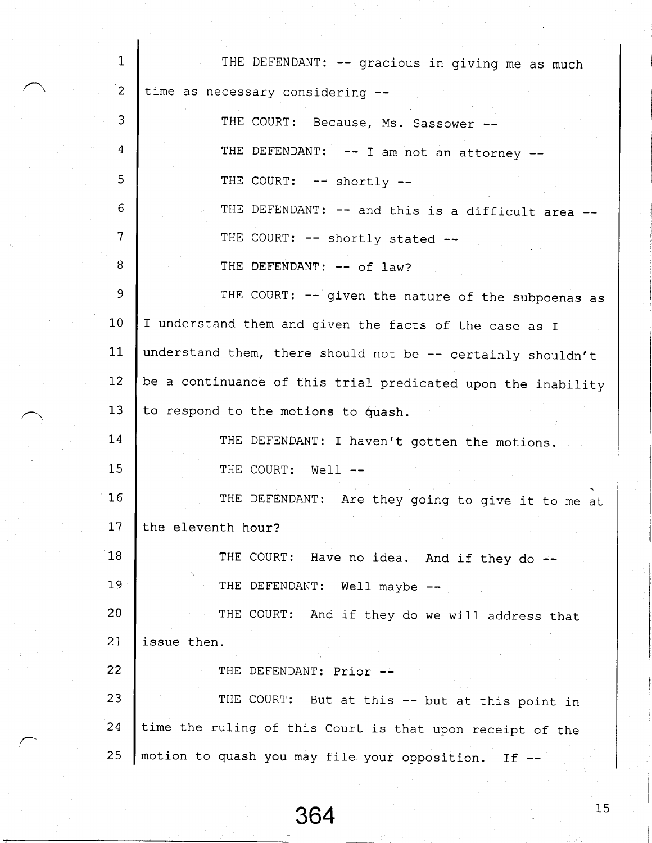1 2 3 4 5 6 7 8 9 1 0  $11$  $12$ 13  $14$  $15$ 1 6 I 7 1 8 1 9 2 0 2 I  $22 \overline{ }$ **23** 2 4 2 5 THE DEFENDANT: -- gracious in giving me as much time as necessary considering THE COURT: Because, Ms. Sassower --THE DEFENDANT:  $--$  I am not an attorney  $--$ THE COURT: -- shortly --THE DEFENDANT:  $--$  and this is a difficult area  $--$ THE COURT: -- shortly stated --THE DEFENDANT:  $--$  of law? THE COURT: -- given the nature of the subpoenas as I understand them and given the facts of the case as I understand them, there should not be  $--$  certainly shouldn't be a continuance of this trial predicated upon the inability to respond to the motions to quash. THE DEFENDANT: I haven't gotten the motions. THE COURT: Well  $--$ THE DEFENDANT: Are they going to give it to me at the eleventh hour? THE COURT: Have no idea. And if they do --THE DEFENDANT: Well maybe --THE COURT: And if they do we will address that issue then. THE DEFENDANT: Prior --THE COURT: But at this -- but at this point in time the ruling of this court is that upon receipt of the motion to quash you may file your opposition. If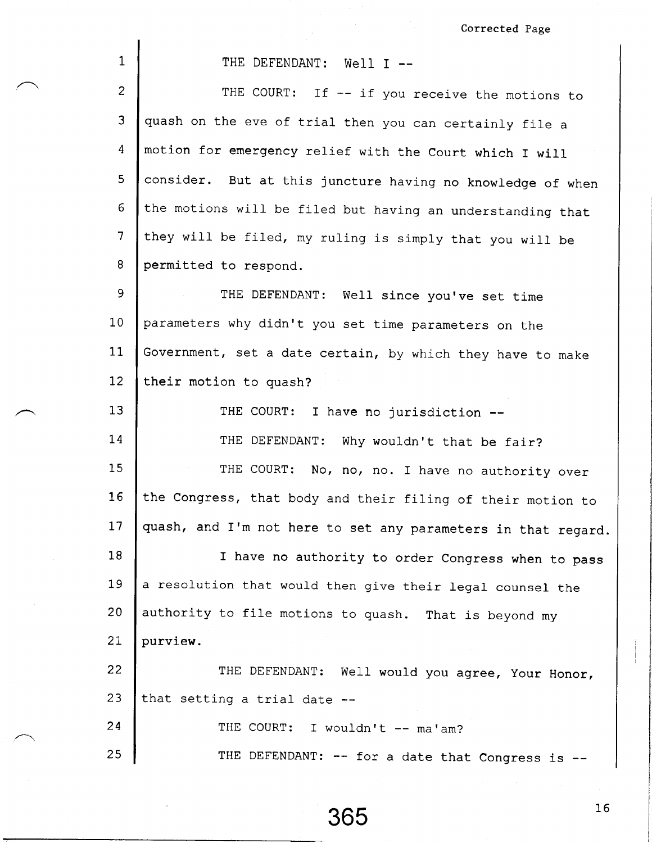Corrected Page

| 1               | THE DEFENDANT: Well I --                                      |
|-----------------|---------------------------------------------------------------|
| $\overline{2}$  | THE COURT: If -- if you receive the motions to                |
| 3               | quash on the eve of trial then you can certainly file a       |
| 4               | motion for emergency relief with the Court which I will       |
| 5               | consider. But at this juncture having no knowledge of when    |
| 6               | the motions will be filed but having an understanding that    |
| $\overline{7}$  | they will be filed, my ruling is simply that you will be      |
| 8               | permitted to respond.                                         |
| $\mathsf 9$     | THE DEFENDANT: Well since you've set time                     |
| 10              | parameters why didn't you set time parameters on the          |
| 11              | Government, set a date certain, by which they have to make    |
| 12              | their motion to quash?                                        |
| 13              | THE COURT: I have no jurisdiction --                          |
| 14              | THE DEFENDANT: Why wouldn't that be fair?                     |
| 15              | THE COURT: No, no, no. I have no authority over               |
| 16 <sub>1</sub> | the Congress, that body and their filing of their motion to   |
| 17 <sub>2</sub> | quash, and I'm not here to set any parameters in that regard. |
| 18              | I have no authority to order Congress when to pass            |
| 19              | a resolution that would then give their legal counsel the     |
| 20              | authority to file motions to quash. That is beyond my         |
| 21              | purview.                                                      |
| 22.             | THE DEFENDANT: Well would you agree, Your Honor,              |
| 23              | that setting a trial date --                                  |
| 24              | THE COURT: I wouldn't -- ma'am?                               |
| 25              | THE DEFENDANT: -- for a date that Congress is --              |

 $\overline{1}$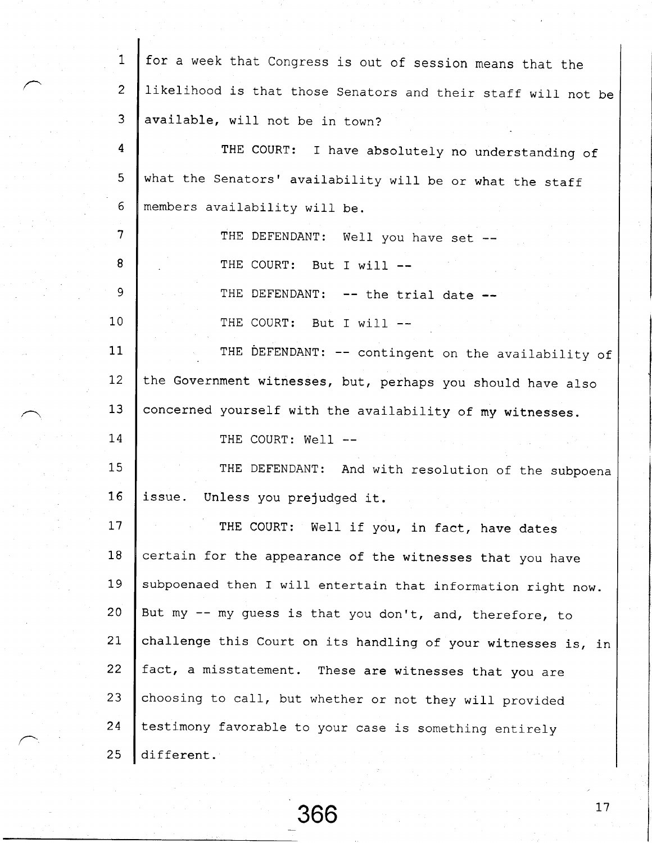| $\mathbf{1}$             | for a week that Congress is out of session means that the     |
|--------------------------|---------------------------------------------------------------|
| $\overline{c}$           | likelihood is that those Senators and their staff will not be |
| 3                        | available, will not be in town?                               |
| 4                        | THE COURT: I have absolutely no understanding of              |
| 5                        | what the Senators' availability will be or what the staff     |
| 6                        | members availability will be.                                 |
| $\overline{\mathcal{L}}$ | THE DEFENDANT: Well you have set --                           |
| 8                        | THE COURT: But I will --                                      |
| 9                        | THE DEFENDANT: -- the trial date --                           |
| 10                       | THE COURT: But I will --                                      |
| 11                       | THE DEFENDANT: -- contingent on the availability of           |
| 12                       | the Government witnesses, but, perhaps you should have also   |
| 13                       | concerned yourself with the availability of my witnesses.     |
| 14                       | THE COURT: Well --                                            |
| 15                       | THE DEFENDANT: And with resolution of the subpoena            |
| 16                       | issue. Unless you prejudged it.                               |
| 17                       | THE COURT: Well if you, in fact, have dates                   |
| 18                       | certain for the appearance of the witnesses that you have     |
| 19                       | subpoenaed then I will entertain that information right now.  |
| 20                       | But my -- my guess is that you don't, and, therefore, to      |
| 21                       | challenge this Court on its handling of your witnesses is, in |
| 22                       | fact, a misstatement. These are witnesses that you are        |
| 23                       | choosing to call, but whether or not they will provided       |
| 24                       | testimony favorable to your case is something entirely        |
| 25                       | different.                                                    |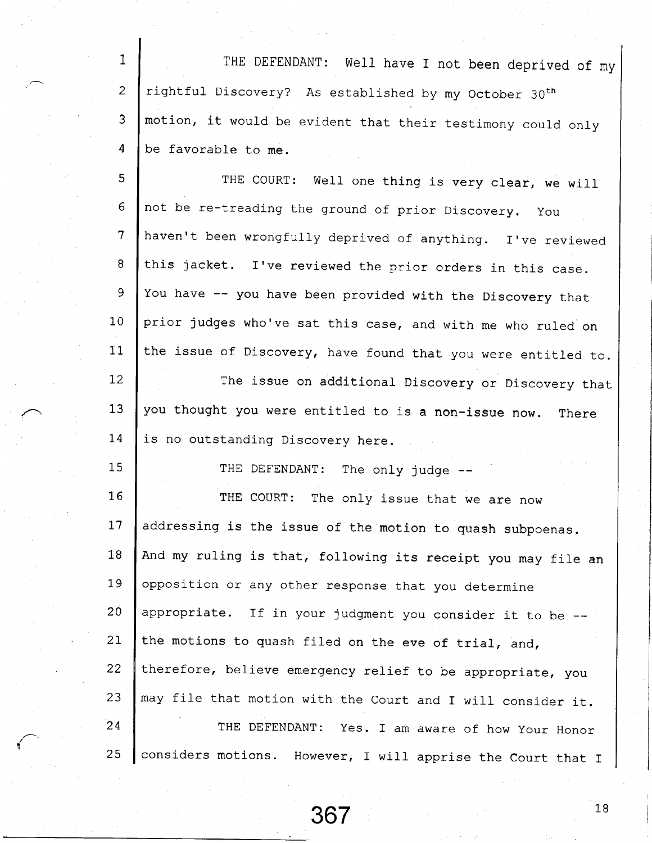1 2 3 4 THE DEFENDANT: Well have I not been deprived of my rightful Discovery? As established by my October 30th motion, it would be evident that their testimony could only be favorable to me.

 $\overline{5}$ 6 7 8 9 1 0 11 THE COURT: Well one thing is very clear, we will not be re-treading the ground of prior Discovery. You haven't been wrongfully deprived of anything. I've reviewed this jacket. I've reviewed the prior orders in this case. You have -- you have been provided with the Discovery that prior judges who've sat this case, and with me who ruled'on the issue of Discovery, have found that you were entitled to.

 $12<sup>°</sup>$ 13 L 4 The issue on additional Discovery or Discovery that you thought you were entitled to is a non-issue now. There is no outstanding Discovery here.

1 5

THE DEFENDANT: The only judge --

1\_6  $17$ 1 8  $19$ 2 0  $21$  $22$ 2 3 2 4 2 5 THE COURT: The only issue that we are now addressing is the issue of the motion to quash subpoenas. And my ruling is that, following its receipt you may file an opposition or any other response that you determine appropriate. If in your judgment you consider it to be  $-$ the motions to quash filed on the eve of trial, and, therefore, believe emergency relief to be appropriate, you may file that motion with the Court and I will consider it. THE DEFENDANT: Yes. I am aware of how Your Honor considers motions. However, I will apprise the Court that I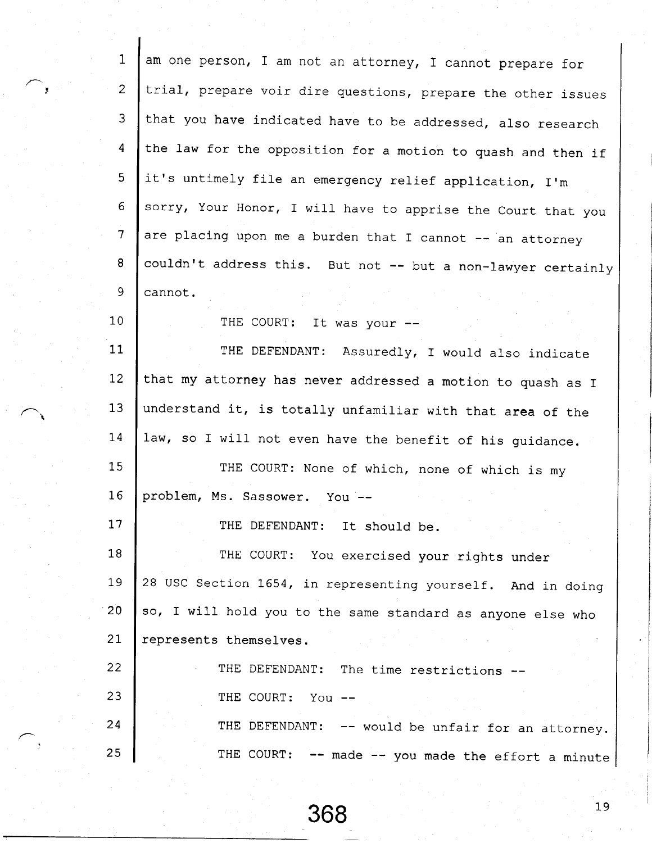| $\mathbf{1}$    | am one person, I am not an attorney, I cannot prepare for    |
|-----------------|--------------------------------------------------------------|
| $\overline{2}$  | trial, prepare voir dire questions, prepare the other issues |
| 3               | that you have indicated have to be addressed, also research  |
| 4               | the law for the opposition for a motion to quash and then if |
| 5 <sub>1</sub>  | it's untimely file an emergency relief application, I'm      |
| 6               | sorry, Your Honor, I will have to apprise the Court that you |
| 7               | are placing upon me a burden that I cannot -- an attorney    |
| 8               | couldn't address this. But not -- but a non-lawyer certainly |
| 9               | cannot.                                                      |
| 10 <sub>1</sub> | THE COURT: It was your --                                    |
| 11              | THE DEFENDANT: Assuredly, I would also indicate              |
| 12              | that my attorney has never addressed a motion to quash as I  |
| 13              | understand it, is totally unfamiliar with that area of the   |
| 14              | law, so I will not even have the benefit of his guidance.    |
| 15 <sub>1</sub> | THE COURT: None of which, none of which is my                |
| 16              | problem, Ms. Sassower. You --                                |
| 17              | THE DEFENDANT: It should be.                                 |
| 18              | THE COURT: You exercised your rights under                   |
| 19              | 28 USC Section 1654, in representing yourself. And in doing  |
| 20              | so, I will hold you to the same standard as anyone else who  |
| 21              | represents themselves.                                       |
| 22              | THE DEFENDANT: The time restrictions                         |
| 23              | THE COURT: You --                                            |
| 24              | THE DEFENDANT: -- would be unfair for an attorney.           |
| 25              | THE COURT: -- made -- you made the effort a minute           |

t,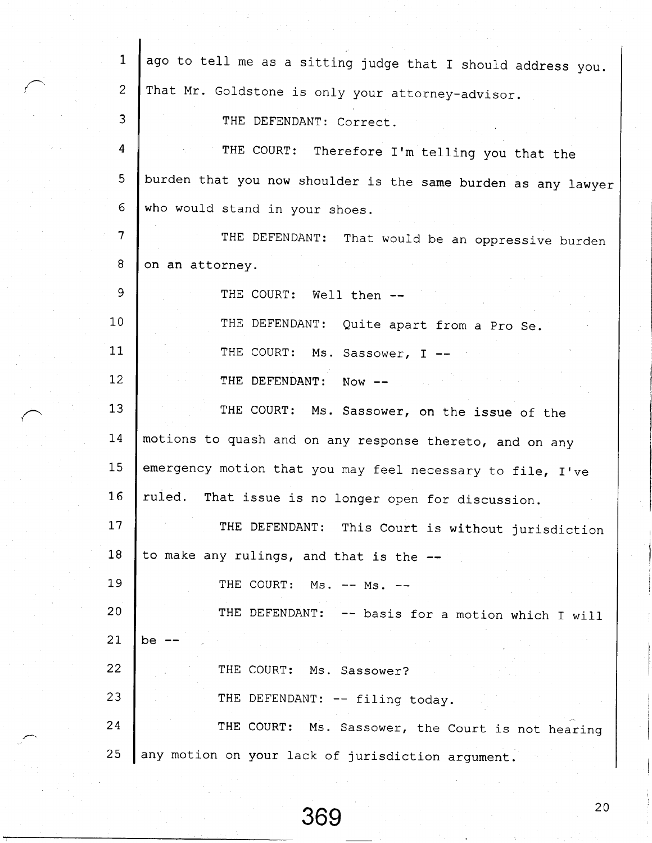| 1              | ago to tell me as a sitting judge that I should address you.  |
|----------------|---------------------------------------------------------------|
| $\overline{c}$ | That Mr. Goldstone is only your attorney-advisor.             |
| $\overline{3}$ | THE DEFENDANT: Correct.                                       |
| 4              | THE COURT: Therefore I'm telling you that the                 |
| 5              | burden that you now shoulder is the same burden as any lawyer |
| 6              | who would stand in your shoes.                                |
| 7              | THE DEFENDANT: That would be an oppressive burden             |
| 8              | on an attorney.                                               |
| 9              | THE COURT: Well then --                                       |
| 10             | THE DEFENDANT: Quite apart from a Pro Se.                     |
| 11             | THE COURT: Ms. Sassower, I --                                 |
| 12             | THE DEFENDANT: Now --                                         |
| 13             | THE COURT: Ms. Sassower, on the issue of the                  |
| 14             | motions to quash and on any response thereto, and on any      |
| 15             | emergency motion that you may feel necessary to file, I've    |
| 16             | ruled. That issue is no longer open for discussion.           |
| 17             | THE DEFENDANT: This Court is without jurisdiction             |
| 18             | to make any rulings, and that is the --                       |
| 19             | THE COURT: Ms. -- Ms.                                         |
| 20             | THE DEFENDANT:<br>-- basis for a motion which I will          |
| 21             | be                                                            |
| 22             | THE COURT: Ms. Sassower?                                      |
| 23             | THE DEFENDANT: -- filing today.                               |
| 24             | THE COURT: Ms. Sassower, the Court is not hearing             |
| 25             | any motion on your lack of jurisdiction argument.             |

'I

369<sup>20</sup>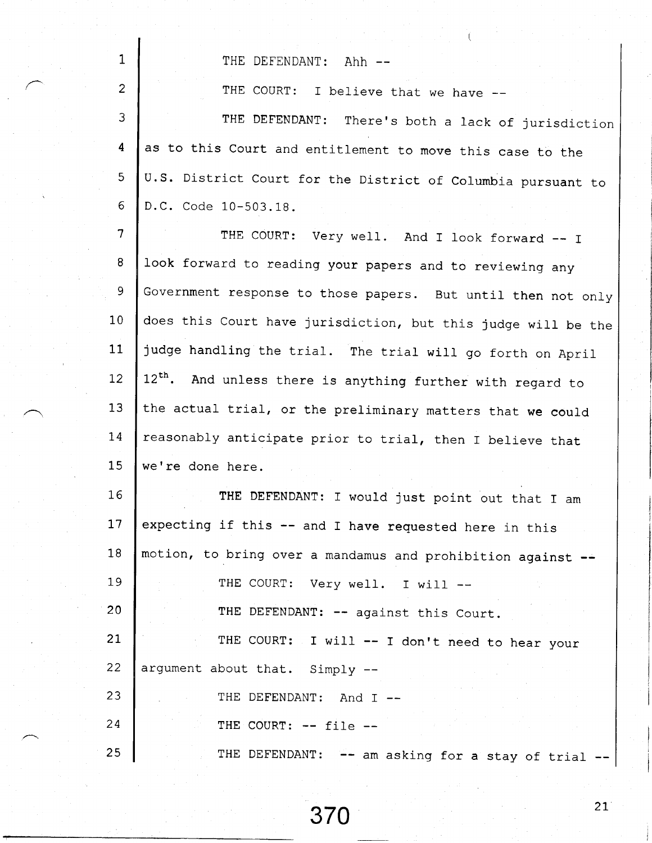THE DEFENDANT: Ahh --

1

2

THE COURT: I believe that we have --

3 4 6 6 THE DEFENDANT: There's both a lack of jurisdiction as to this Court and entitlement to move this case to the u.s. District court for the District of columbia pursuant to D.C. Code 10-503.18.

7  $8<sup>1</sup>$ 9 1 0  $11$  $12<sup>2</sup>$ 1 3 7 4 15 THE COURT: Very well. And I look forward -- I look forward to reading your papers and to reviewing any Government response to those papers. But until then not only does this Court have jurisdiction, but this judge will be the judge handling the trial. The trial will go forth on April 12<sup>th</sup>. And unless there is anything further with regard to the actual trial, or the preliminary matters that we could reasonably anticipate prior to trial, then I believe that we're done here.

I 6 17 1 8 I 9  $20$  $21$  $22 \overline{c}$ 23 2 4 2 5 THE DEFENDANT: I would just point out that I am expecting if this  $--$  and I have requested here in this motion, to bring over a mandamus and prohibition against THE COURT: Very well. I will --THE DEFENDANT: -- against this Court. THE COURT: I will  $-$  I don't need to hear your argument about that. Simply -- THE DEFENDANT: And I --THE COURT:  $--$  file  $--$ THE DEFENDANT:  $--$  am asking for a stay of trial  $--$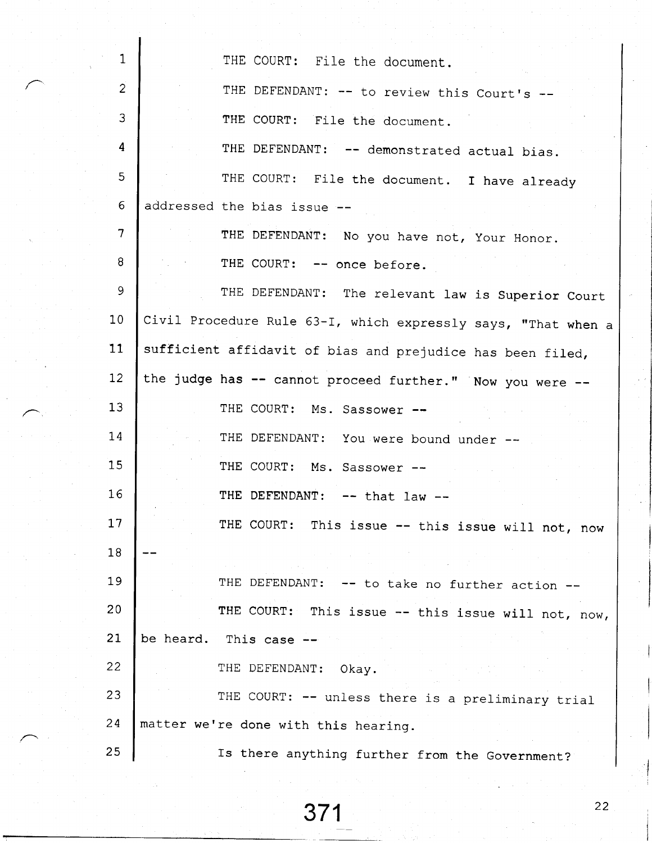1 THE COURT: File the document. 2 THE DEFENDANT:  $--$  to review this Court's  $--$ 3 THE COURT: File the document. 4 THE DEFENDANT: -- demonstrated actual bias. 6 THE COURT: File the document. I have already addressed the bias issue 6 7 THE DEFENDANT: No you have not, Your Honor. 8 THE COURT: -- once before. 9 THE DEFENDANT: The relevant law is Superior Court Civil Procedure Rule 63-I, which expressly says, "That when a 1 0 sufficient affidavit of bias and prejudice has been filed,  $11$ the judge has  $-$  cannot proceed further." Now you were  $12<sup>2</sup>$ 1 3 THE COURT: Ms. Sassower --I 4 THE DEFENDANT: You were bound under --1 5 THE COURT: Ms. Sassower --L 6 THE DEFENDANT:  $--$  that law  $--$ THE COURT: This issue -- this issue will not, now 1.7 1 8  $19$ THE DEFENDANT:  $--$  to take no further action  $--$ THE COURT: This issue  $--$  this issue will not, now, 2 0  $21$ be heard. This case -- $22 \overline{ }$ THE DEFENDANT: Okav. 23 THE COURT: -- unless there is a preliminary trial matter we're done with this hearing.  $24$ Is there anything further from the Government? 2 5

 $371$   $22$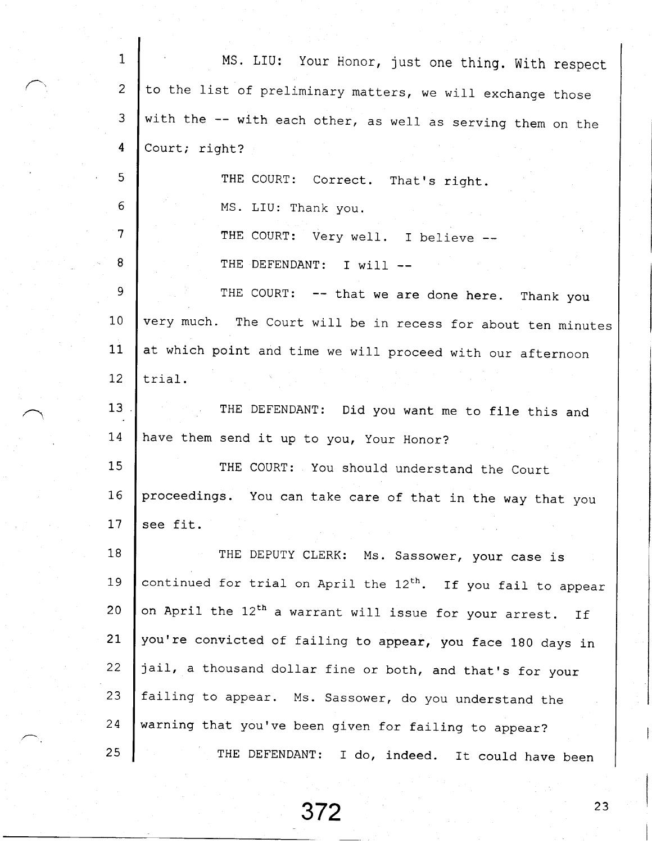| $\mathbf 1$     | MS. LIU: Your Honor, just one thing. With respect                         |
|-----------------|---------------------------------------------------------------------------|
| $\overline{2}$  | to the list of preliminary matters, we will exchange those                |
| 3               | with the -- with each other, as well as serving them on the               |
| $\overline{4}$  | Court; right?                                                             |
| 5               | THE COURT: Correct. That's right.                                         |
| 6               | MS. LIU: Thank you.                                                       |
| $\overline{7}$  | THE COURT: Very well. I believe --                                        |
| 8               | THE DEFENDANT: I will --                                                  |
| 9               | THE COURT: -- that we are done here. Thank you                            |
| 10              | very much. The Court will be in recess for about ten minutes              |
| 11              | at which point and time we will proceed with our afternoon                |
| 12 <sup>2</sup> | trial.                                                                    |
| 13 <sup>7</sup> | THE DEFENDANT: Did you want me to file this and                           |
| 14              | have them send it up to you, Your Honor?                                  |
| 15              | THE COURT: You should understand the Court                                |
| 16              | proceedings. You can take care of that in the way that you                |
| 17              | see fit.                                                                  |
| 18              | THE DEPUTY CLERK: Ms. Sassower, your case is                              |
| 19              | continued for trial on April the 12 <sup>th</sup> . If you fail to appear |
| 20              | on April the 12 <sup>th</sup> a warrant will issue for your arrest.<br>If |
| 21              | you're convicted of failing to appear, you face 180 days in               |
| 22              | jail, a thousand dollar fine or both, and that's for your                 |
| 23              | failing to appear. Ms. Sassower, do you understand the                    |
| 24              | warning that you've been given for failing to appear?                     |
| 25              | THE DEFENDANT: I do, indeed. It could have been                           |

 $372$   $23$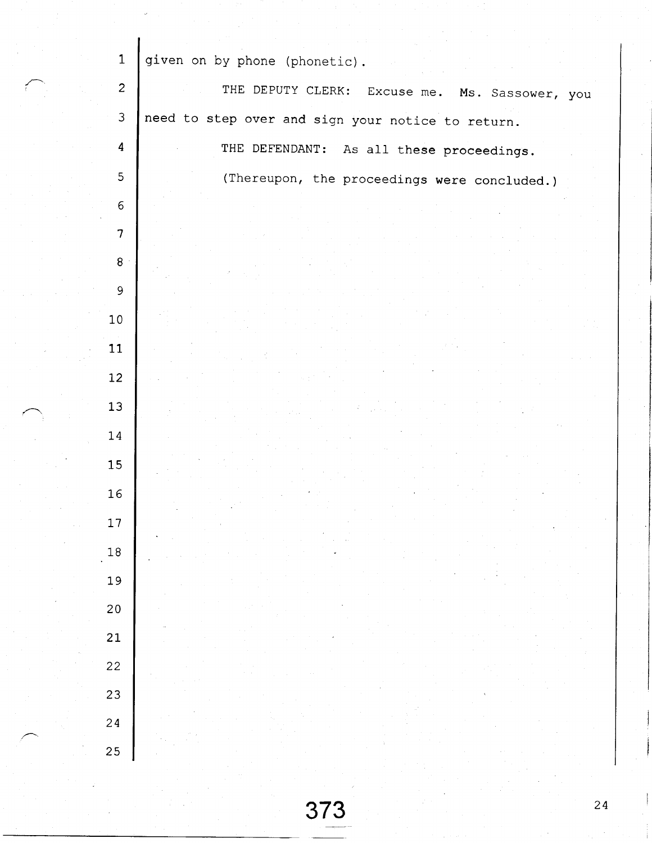| $\mathbf{1}$            | given on by phone (phonetic).                     |
|-------------------------|---------------------------------------------------|
| $\overline{c}$          | THE DEPUTY CLERK: Excuse me. Ms. Sassower, you    |
| $\mathfrak{Z}$          | need to step over and sign your notice to return. |
| $\overline{\mathbf{4}}$ | THE DEFENDANT: As all these proceedings.          |
| 5                       | (Thereupon, the proceedings were concluded.)      |
| $\epsilon$              |                                                   |
| $\overline{7}$          |                                                   |
| $\bf 8$                 |                                                   |
| $\overline{9}$          |                                                   |
| $10\,$                  |                                                   |
|                         |                                                   |
| 11                      |                                                   |
| 12                      |                                                   |
| 13                      |                                                   |
| $14\,$                  |                                                   |
| 15                      |                                                   |
| 16                      |                                                   |
| 17                      |                                                   |
| 18                      |                                                   |
| 19                      |                                                   |
| 20                      |                                                   |
| 21                      |                                                   |
| 22                      |                                                   |
| 23                      |                                                   |
| 24                      |                                                   |
|                         |                                                   |
| 25                      |                                                   |
|                         |                                                   |

 $\mathbf{I}$